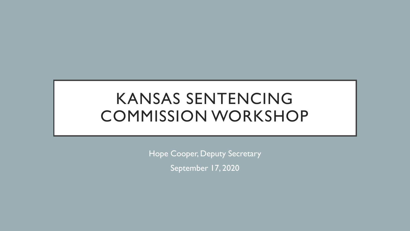# KANSAS SENTENCING COMMISSION WORKSHOP

Hope Cooper, Deputy Secretary September 17, 2020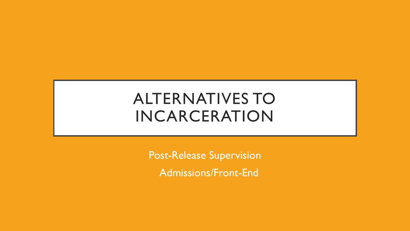### ALTERNATIVES TO INCARCERATION

Post-Release Supervision Admissions/Front-End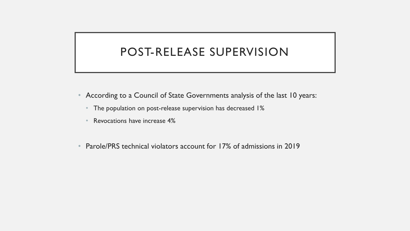### POST-RELEASE SUPERVISION

- According to a Council of State Governments analysis of the last 10 years:
	- The population on post-release supervision has decreased 1%
	- Revocations have increase 4%
- Parole/PRS technical violators account for 17% of admissions in 2019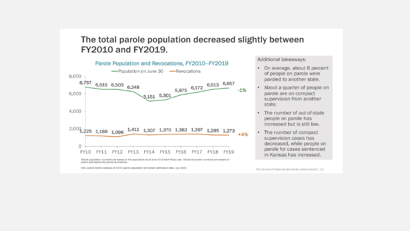#### The total parole population decreased slightly between **FY2010 and FY2019.**



prison admissions for parole revocations.

CSG Justice Center analysis of KDOC parole population and prison admission data. July 2020.

Additional takeaways:

- On average, about 6 percent of people on parole were paroled to another state.
- About a quarter of people on parole are on compact supervision from another state.
- The number of out-of-state people on parole has increased but is still low.
- The number of compact supervision cases has decreased, while people on parole for cases sentenced in Kansas has increased.

The Council of State Governments Justice Center | 16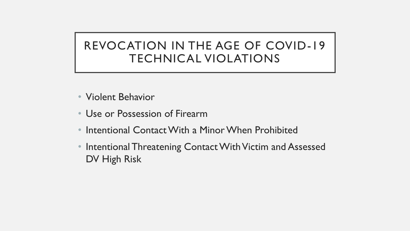### REVOCATION IN THE AGE OF COVID-19 TECHNICAL VIOLATIONS

- Violent Behavior
- Use or Possession of Firearm
- Intentional Contact With a Minor When Prohibited
- Intentional Threatening Contact With Victim and Assessed DV High Risk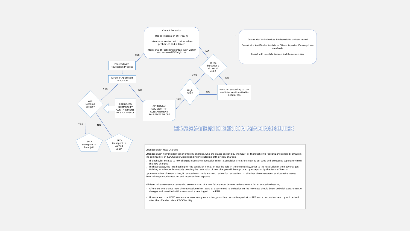

- 
- 
- 

Offenders with new misdemeanor of elony charges, who are placed on bond by the Court or thorough own recognizance should remathe other community on KDCC supervision pending the other new charges.<br>
□ If a behavior related the community on KDOC supervision pending the outcome of their new charges.<br>  $\Box$  If a behavior related to new charges meets the revocation criteria, condition violations may be pursued and processed separately from<br>
the n The new charges.<br>The these cases, the PRB hearing for the condition violation may be held in the community, prior to the resolution of the  $\Box$  Holding an offender in custody pending the resolution of new charges will be

- All determinate sentence cases who are convicted of a new felony must be referred to the PRB for a revocation hearing.<br>- Offenders who do not meet the revocation criteria and are sentenced to probation on the new case sh char ges and pr ovided with a community hear ing with the PRB.
- If sentenced to a KDOC sentence for new felony conviction, provide a revocation packet to PRB and a revocation hearing will be held after the offender is in a KDOC facility.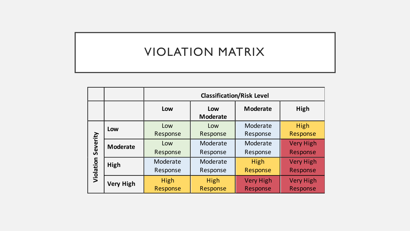### VIOLATION MATRIX

|                       |                  | <b>Classification/Risk Level</b> |                        |                              |                              |
|-----------------------|------------------|----------------------------------|------------------------|------------------------------|------------------------------|
|                       |                  | Low                              | Low<br><b>Moderate</b> | <b>Moderate</b>              | High                         |
| Severity<br>Violation | Low              | Low<br>Response                  | Low<br>Response        | Moderate<br>Response         | High<br>Response             |
|                       | <b>Moderate</b>  | Low<br>Response                  | Moderate<br>Response   | Moderate<br>Response         | <b>Very High</b><br>Response |
|                       | High             | Moderate<br>Response             | Moderate<br>Response   | High<br>Response             | <b>Very High</b><br>Response |
|                       | <b>Very High</b> | <b>High</b><br>Response          | High<br>Response       | <b>Very High</b><br>Response | <b>Very High</b><br>Response |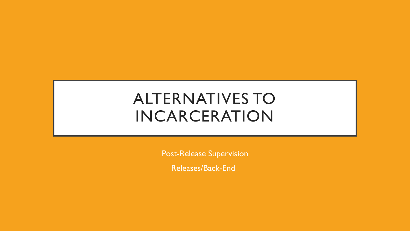### ALTERNATIVES TO INCARCERATION

Post-Release Supervision

Releases/Back-End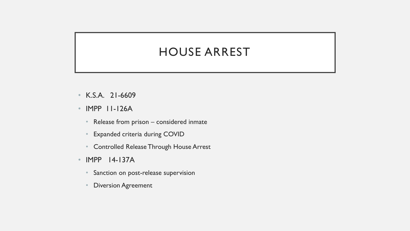### HOUSE ARREST

- K.S.A. 21-6609
- IMPP 11-126A
	- Release from prison considered inmate
	- Expanded criteria during COVID
	- Controlled Release Through House Arrest
- IMPP 14-137A
	- Sanction on post-release supervision
	- **Diversion Agreement**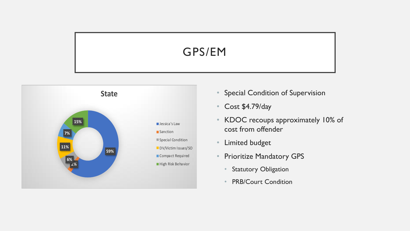### GPS/EM



- Special Condition of Supervision
- Cost \$4.79/day
- KDOC recoups approximately 10% of cost from offender
- Limited budget
- Prioritize Mandatory GPS
	- Statutory Obligation
	- PRB/Court Condition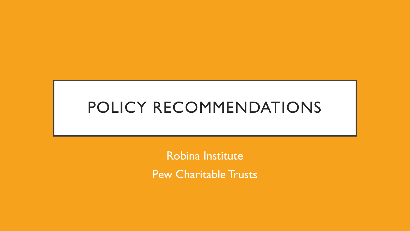# POLICY RECOMMENDATIONS

Robina Institute Pew Charitable Trusts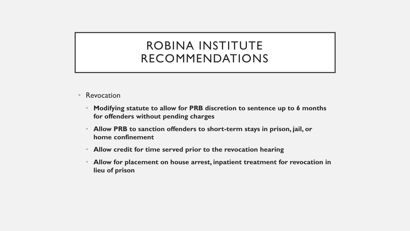#### ROBINA INSTITUTE RECOMMENDATIONS

- Revocation
	- **Modifying statute to allow for PRB discretion to sentence up to 6 months for offenders without pending charges**
	- **Allow PRB to sanction offenders to short-term stays in prison, jail, or home confinement**
	- **Allow credit for time served prior to the revocation hearing**
	- **Allow for placement on house arrest, inpatient treatment for revocation in lieu of prison**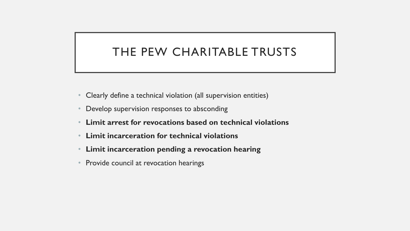### THE PEW CHARITABLE TRUSTS

- Clearly define a technical violation (all supervision entities)
- Develop supervision responses to absconding
- **Limit arrest for revocations based on technical violations**
- **Limit incarceration for technical violations**
- **Limit incarceration pending a revocation hearing**
- Provide council at revocation hearings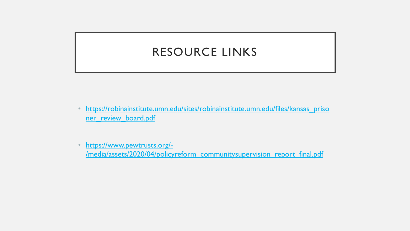### RESOURCE LINKS

- [https://robinainstitute.umn.edu/sites/robinainstitute.umn.edu/files/kansas\\_priso](https://robinainstitute.umn.edu/sites/robinainstitute.umn.edu/files/kansas_prisoner_review_board.pdf) ner\_review\_board.pdf
- https://www.pewtrusts.org/- [/media/assets/2020/04/policyreform\\_communitysupervision\\_report\\_final.pdf](https://www.pewtrusts.org/-/media/assets/2020/04/policyreform_communitysupervision_report_final.pdf)